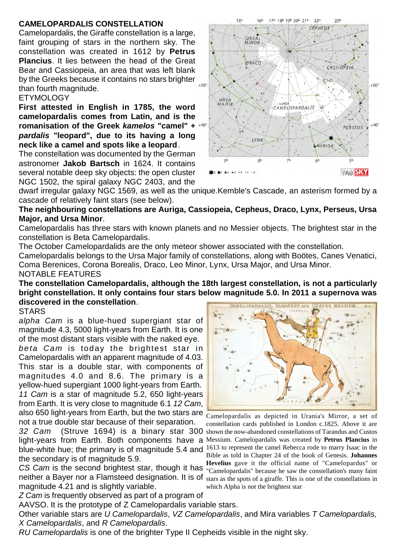### **CAMELOPARDALIS CONSTELLATION**

Camelopardalis, the Giraffe constellation is a large, faint grouping of stars in the northern sky. The constellation was created in 1612 by **Petrus Plancius**. It lies between the head of the Great Bear and Cassiopeia, an area that was left blank by the Greeks because it contains no stars brighter  $_{*50}$ than fourth magnitude.

### **ETYMOLOGY**

**First attested in English in 1785, the word camelopardalis comes from Latin, and is the romanisation of the Greek** *kamelos* **"camel" +** *pardalis* **"leopard", due to its having a long neck like a camel and spots like a leopard**.

The constellation was documented by the German astronomer **Jakob Bartsch** in 1624. It contains several notable deep sky objects: the open cluster NGC 1502, the spiral galaxy NGC 2403, and the



17h 18h 19h 20h 21h

つつり

 $231$ 

 $151$ 

16h

dwarf irregular galaxy NGC 1569, as well as the unique.Kemble's Cascade, an asterism formed by a cascade of relatively faint stars (see below).

**The neighbouring constellations are Auriga, Cassiopeia, Cepheus, Draco, Lynx, Perseus, Ursa Major, and Ursa Minor**.

Camelopardalis has three stars with known planets and no Messier objects. The brightest star in the constellation is Beta Camelopardalis.

The October Camelopardalids are the only meteor shower associated with the constellation.

Camelopardalis belongs to the Ursa Major family of constellations, along with Boötes, Canes Venatici, Coma Berenices, Corona Borealis, Draco, Leo Minor, Lynx, Ursa Major, and Ursa Minor. NOTABLE FEATURES

**The constellation Camelopardalis, although the 18th largest constellation, is not a particularly bright constellation. It only contains four stars below magnitude 5.0. In 2011 a supernova was discovered in the constellation**. **CAMELOPARDALIS** 

#### **STARS**

*alpha Cam* is a blue-hued supergiant star of magnitude 4.3, 5000 light-years from Earth. It is one of the most distant stars visible with the naked eye. *beta Cam* is today the brightest star in Camelopardalis with an apparent magnitude of 4.03. This star is a double star, with components of

also 650 light-years from Earth, but the two stars are  $\frac{1}{2}$  Camelopardalis as depicted in Urania's Mirror, a set of magnitudes 4.0 and 8.6. The primary is a yellow-hued supergiant 1000 light-years from Earth. *11 Cam* is a star of magnitude 5.2, 650 light-years from Earth. It is very close to magnitude 6.1 *12 Cam*, not a true double star because of their separation.

32 Cam (Struve 1694) is a binary star 300 shown the now-abandoned constellations of Tarandus and Custos light-years from Earth. Both components have a Messium. Camelopardalis was created by Petrus Plancius in blue-white hue; the primary is of magnitude 5.4 and  $1613$  to represent the camel Rebecca rode to marry Isaac in the the secondary is of magnitude 5.9.

*CS Cam* is the second brightest star, though it has neither a Bayer nor a Flamsteed designation. It is of magnitude 4.21 and is slightly variable.

*Z Cam* is frequently observed as part of a program of

AAVSO. It is the prototype of Z Camelopardalis variable stars.

Other variable stars are *U Camelopardalis*, *VZ Camelopardalis*, and Mira variables *T Camelopardalis, X Camelopardalis*, and *R Camelopardalis*.

*RU Camelopardalis* is one of the brighter Type II Cepheids visible in the night sky.



constellation cards published in London c.1825. Above it are Bible as told in Chapter 24 of the book of Genesis. **Johannes Hevelius** gave it the official name of "Camelopardus" or "Camelopardalis" because he saw the constellation's many faint stars as the spots of a giraffe. This is one of the constellations in which Alpha is not the brightest star